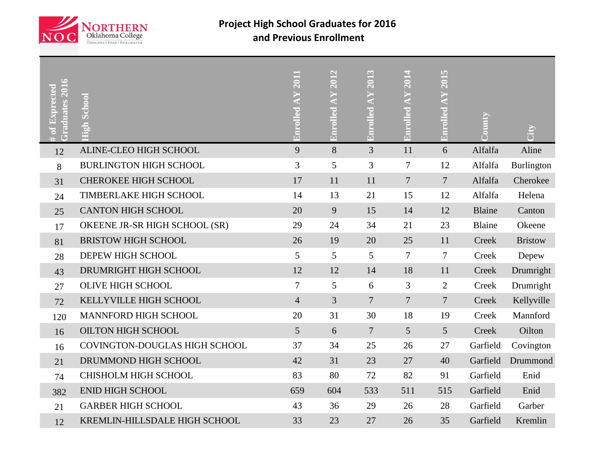

## **Project High School Graduates for 2016 and Previous Enrollment**

| Graduates 201<br># of $\operatorname{Expected}$ | High School                   | 2011<br><b>Enrolled AY</b> | Enrolled AY 2012 | Enrolled AY 2013 | Enrolled AY 2014 | Enrolled AY 2015 | Aumo <sub>'</sub> | χir            |
|-------------------------------------------------|-------------------------------|----------------------------|------------------|------------------|------------------|------------------|-------------------|----------------|
| 12                                              | ALINE-CLEO HIGH SCHOOL        | 9                          | 8                | 3                | 11               | 6                | Alfalfa           | Aline          |
| 8                                               | <b>BURLINGTON HIGH SCHOOL</b> | 3                          | 5                | $\overline{3}$   | 7                | 12               | Alfalfa           | Burlington     |
| 31                                              | <b>CHEROKEE HIGH SCHOOL</b>   | 17                         | 11               | 11               | $\overline{7}$   | $\overline{7}$   | Alfalfa           | Cherokee       |
| 24                                              | TIMBERLAKE HIGH SCHOOL        | 14                         | 13               | 21               | 15               | 12               | Alfalfa           | Helena         |
| 25                                              | <b>CANTON HIGH SCHOOL</b>     | 20                         | 9                | 15               | 14               | 12               | <b>Blaine</b>     | Canton         |
| 17                                              | OKEENE JR-SR HIGH SCHOOL (SR) | 29                         | 24               | 34               | 21               | 23               | Blaine            | Okeene         |
| 81                                              | <b>BRISTOW HIGH SCHOOL</b>    | 26                         | 19               | 20               | 25               | 11               | Creek             | <b>Bristow</b> |
| 28                                              | DEPEW HIGH SCHOOL             | 5                          | 5                | 5                | 7                | 7                | Creek             | Depew          |
| 43                                              | DRUMRIGHT HIGH SCHOOL         | 12                         | 12               | 14               | 18               | 11               | Creek             | Drumright      |
| 27                                              | <b>OLIVE HIGH SCHOOL</b>      | 7                          | 5                | 6                | 3                | $\overline{2}$   | Creek             | Drumright      |
| 72                                              | KELLYVILLE HIGH SCHOOL        | $\overline{4}$             | 3                | $\overline{7}$   | $\overline{7}$   | $\overline{7}$   | <b>Creek</b>      | Kellyville     |
| 120                                             | MANNFORD HIGH SCHOOL          | 20                         | 31               | 30               | 18               | 19               | Creek             | Mannford       |
| 16                                              | <b>OILTON HIGH SCHOOL</b>     | $5\overline{)}$            | 6                | $\overline{7}$   | 5                | 5                | Creek             | Oilton         |
| 16                                              | COVINGTON-DOUGLAS HIGH SCHOOL | 37                         | 34               | 25               | 26               | 27               | Garfield          | Covington      |
| 21                                              | DRUMMOND HIGH SCHOOL          | 42                         | 31               | 23               | 27               | 40               | Garfield          | Drummond       |
| 74                                              | CHISHOLM HIGH SCHOOL          | 83                         | 80               | 72               | 82               | 91               | Garfield          | Enid           |
| 382                                             | <b>ENID HIGH SCHOOL</b>       | 659                        | 604              | 533              | 511              | 515              | Garfield          | Enid           |
| 21                                              | <b>GARBER HIGH SCHOOL</b>     | 43                         | 36               | 29               | 26               | 28               | Garfield          | Garber         |
| 12                                              | KREMLIN-HILLSDALE HIGH SCHOOL | 33                         | 23               | 27               | 26               | 35               | Garfield          | Kremlin        |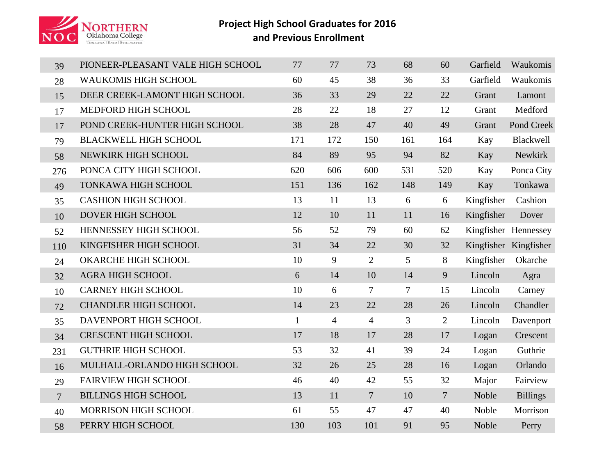

## **Project High School Graduates for 2016 and Previous Enrollment**

| 39             | PIONEER-PLEASANT VALE HIGH SCHOOL | 77           | 77             | 73             | 68     | 60             | Garfield   | Waukomis              |
|----------------|-----------------------------------|--------------|----------------|----------------|--------|----------------|------------|-----------------------|
| 28             | <b>WAUKOMIS HIGH SCHOOL</b>       | 60           | 45             | 38             | 36     | 33             | Garfield   | Waukomis              |
| 15             | DEER CREEK-LAMONT HIGH SCHOOL     | 36           | 33             | 29             | 22     | 22             | Grant      | Lamont                |
| 17             | MEDFORD HIGH SCHOOL               | 28           | 22             | 18             | 27     | 12             | Grant      | Medford               |
| 17             | POND CREEK-HUNTER HIGH SCHOOL     | 38           | 28             | 47             | 40     | 49             | Grant      | Pond Creek            |
| 79             | <b>BLACKWELL HIGH SCHOOL</b>      | 171          | 172            | 150            | 161    | 164            | Kay        | Blackwell             |
| 58             | NEWKIRK HIGH SCHOOL               | 84           | 89             | 95             | 94     | 82             | Kay        | Newkirk               |
| 276            | PONCA CITY HIGH SCHOOL            | 620          | 606            | 600            | 531    | 520            | Kay        | Ponca City            |
| 49             | TONKAWA HIGH SCHOOL               | 151          | 136            | 162            | 148    | 149            | Kay        | Tonkawa               |
| 35             | <b>CASHION HIGH SCHOOL</b>        | 13           | 11             | 13             | 6      | 6              | Kingfisher | Cashion               |
| 10             | DOVER HIGH SCHOOL                 | 12           | 10             | 11             | 11     | 16             | Kingfisher | Dover                 |
| 52             | HENNESSEY HIGH SCHOOL             | 56           | 52             | 79             | 60     | 62             |            | Kingfisher Hennessey  |
| 110            | KINGFISHER HIGH SCHOOL            | 31           | 34             | 22             | 30     | 32             |            | Kingfisher Kingfisher |
| 24             | OKARCHE HIGH SCHOOL               | 10           | 9              | 2              | 5      | 8              | Kingfisher | Okarche               |
| 32             | <b>AGRA HIGH SCHOOL</b>           | 6            | 14             | 10             | 14     | $\overline{9}$ | Lincoln    | Agra                  |
| 10             | <b>CARNEY HIGH SCHOOL</b>         | 10           | 6              | $\tau$         | $\tau$ | 15             | Lincoln    | Carney                |
| 72             | <b>CHANDLER HIGH SCHOOL</b>       | 14           | 23             | 22             | 28     | 26             | Lincoln    | Chandler              |
| 35             | DAVENPORT HIGH SCHOOL             | $\mathbf{1}$ | $\overline{4}$ | $\overline{4}$ | 3      | 2              | Lincoln    | Davenport             |
| 34             | <b>CRESCENT HIGH SCHOOL</b>       | 17           | 18             | 17             | 28     | 17             | Logan      | Crescent              |
| 231            | <b>GUTHRIE HIGH SCHOOL</b>        | 53           | 32             | 41             | 39     | 24             | Logan      | Guthrie               |
| 16             | MULHALL-ORLANDO HIGH SCHOOL       | 32           | 26             | 25             | 28     | 16             | Logan      | Orlando               |
| 29             | <b>FAIRVIEW HIGH SCHOOL</b>       | 46           | 40             | 42             | 55     | 32             | Major      | Fairview              |
| $\overline{7}$ | <b>BILLINGS HIGH SCHOOL</b>       | 13           | 11             | $\overline{7}$ | 10     | $\overline{7}$ | Noble      | <b>Billings</b>       |
| 40             | MORRISON HIGH SCHOOL              | 61           | 55             | 47             | 47     | 40             | Noble      | Morrison              |
| 58             | PERRY HIGH SCHOOL                 | 130          | 103            | 101            | 91     | 95             | Noble      | Perry                 |